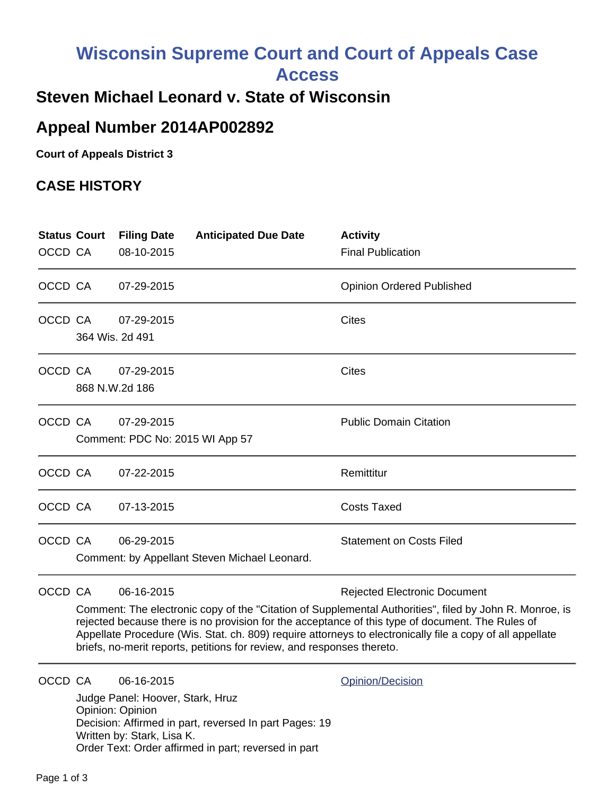# **Wisconsin Supreme Court and Court of Appeals Case**

**Access**

## **Steven Michael Leonard v. State of Wisconsin**

## **Appeal Number 2014AP002892**

**Court of Appeals District 3**

#### **CASE HISTORY**

| <b>Status Court</b><br>OCCD CA |                                                                                                                                                                                                                                                                                                                                                                                                                                                         | <b>Filing Date</b><br>08-10-2015                                                                 | <b>Anticipated Due Date</b>                                                                                    | <b>Activity</b><br><b>Final Publication</b> |
|--------------------------------|---------------------------------------------------------------------------------------------------------------------------------------------------------------------------------------------------------------------------------------------------------------------------------------------------------------------------------------------------------------------------------------------------------------------------------------------------------|--------------------------------------------------------------------------------------------------|----------------------------------------------------------------------------------------------------------------|---------------------------------------------|
| OCCD CA                        |                                                                                                                                                                                                                                                                                                                                                                                                                                                         | 07-29-2015                                                                                       |                                                                                                                | <b>Opinion Ordered Published</b>            |
| OCCD CA                        | 364 Wis. 2d 491                                                                                                                                                                                                                                                                                                                                                                                                                                         | 07-29-2015                                                                                       |                                                                                                                | Cites                                       |
| OCCD CA                        |                                                                                                                                                                                                                                                                                                                                                                                                                                                         | 07-29-2015<br>868 N.W.2d 186                                                                     |                                                                                                                | Cites                                       |
| OCCD CA                        |                                                                                                                                                                                                                                                                                                                                                                                                                                                         | 07-29-2015                                                                                       | Comment: PDC No: 2015 WI App 57                                                                                | <b>Public Domain Citation</b>               |
| OCCD CA                        |                                                                                                                                                                                                                                                                                                                                                                                                                                                         | 07-22-2015                                                                                       |                                                                                                                | Remittitur                                  |
| OCCD CA                        |                                                                                                                                                                                                                                                                                                                                                                                                                                                         | 07-13-2015                                                                                       |                                                                                                                | <b>Costs Taxed</b>                          |
| OCCD CA                        |                                                                                                                                                                                                                                                                                                                                                                                                                                                         | 06-29-2015                                                                                       | Comment: by Appellant Steven Michael Leonard.                                                                  | <b>Statement on Costs Filed</b>             |
| OCCD CA                        | 06-16-2015<br><b>Rejected Electronic Document</b><br>Comment: The electronic copy of the "Citation of Supplemental Authorities", filed by John R. Monroe, is<br>rejected because there is no provision for the acceptance of this type of document. The Rules of<br>Appellate Procedure (Wis. Stat. ch. 809) require attorneys to electronically file a copy of all appellate<br>briefs, no-merit reports, petitions for review, and responses thereto. |                                                                                                  |                                                                                                                |                                             |
| OCCD CA                        |                                                                                                                                                                                                                                                                                                                                                                                                                                                         | 06-16-2015<br>Judge Panel: Hoover, Stark, Hruz<br>Opinion: Opinion<br>Written by: Stark, Lisa K. | Decision: Affirmed in part, reversed In part Pages: 19<br>Order Text: Order affirmed in part; reversed in part | Opinion/Decision                            |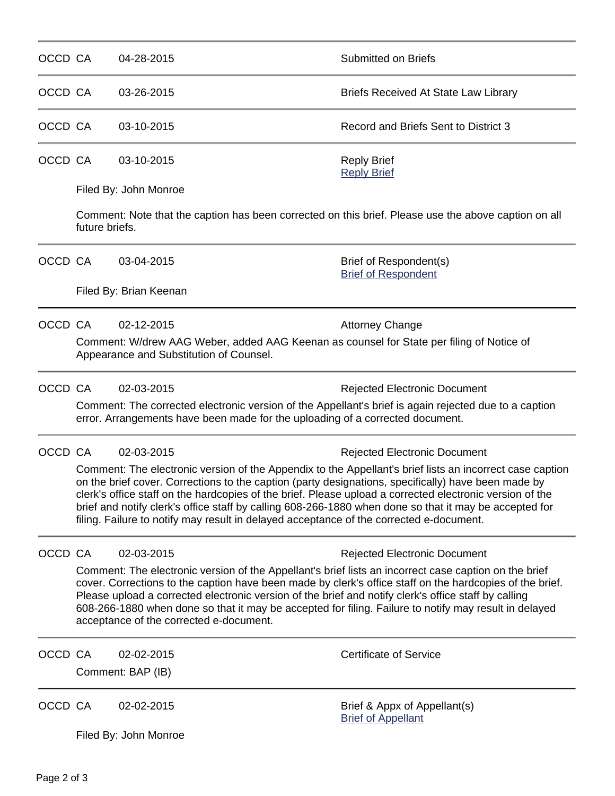| OCCD CA |                                                                                                                                                                                                                                                                                                                                                                                                                                                                                                                                  | 04-28-2015                                                                                                                                                                                                                                                                                                                                                                                                                                                                    | <b>Submitted on Briefs</b>                                                                           |  |  |  |  |
|---------|----------------------------------------------------------------------------------------------------------------------------------------------------------------------------------------------------------------------------------------------------------------------------------------------------------------------------------------------------------------------------------------------------------------------------------------------------------------------------------------------------------------------------------|-------------------------------------------------------------------------------------------------------------------------------------------------------------------------------------------------------------------------------------------------------------------------------------------------------------------------------------------------------------------------------------------------------------------------------------------------------------------------------|------------------------------------------------------------------------------------------------------|--|--|--|--|
| OCCD CA |                                                                                                                                                                                                                                                                                                                                                                                                                                                                                                                                  | 03-26-2015                                                                                                                                                                                                                                                                                                                                                                                                                                                                    | Briefs Received At State Law Library                                                                 |  |  |  |  |
| OCCD CA |                                                                                                                                                                                                                                                                                                                                                                                                                                                                                                                                  | 03-10-2015                                                                                                                                                                                                                                                                                                                                                                                                                                                                    | Record and Briefs Sent to District 3                                                                 |  |  |  |  |
| OCCD CA |                                                                                                                                                                                                                                                                                                                                                                                                                                                                                                                                  | 03-10-2015                                                                                                                                                                                                                                                                                                                                                                                                                                                                    | <b>Reply Brief</b><br><b>Reply Brief</b>                                                             |  |  |  |  |
|         |                                                                                                                                                                                                                                                                                                                                                                                                                                                                                                                                  | Filed By: John Monroe                                                                                                                                                                                                                                                                                                                                                                                                                                                         |                                                                                                      |  |  |  |  |
|         | future briefs.                                                                                                                                                                                                                                                                                                                                                                                                                                                                                                                   |                                                                                                                                                                                                                                                                                                                                                                                                                                                                               | Comment: Note that the caption has been corrected on this brief. Please use the above caption on all |  |  |  |  |
| OCCD CA |                                                                                                                                                                                                                                                                                                                                                                                                                                                                                                                                  | 03-04-2015                                                                                                                                                                                                                                                                                                                                                                                                                                                                    | Brief of Respondent(s)<br><b>Brief of Respondent</b>                                                 |  |  |  |  |
|         |                                                                                                                                                                                                                                                                                                                                                                                                                                                                                                                                  | Filed By: Brian Keenan                                                                                                                                                                                                                                                                                                                                                                                                                                                        |                                                                                                      |  |  |  |  |
| OCCD CA |                                                                                                                                                                                                                                                                                                                                                                                                                                                                                                                                  | 02-12-2015                                                                                                                                                                                                                                                                                                                                                                                                                                                                    | <b>Attorney Change</b>                                                                               |  |  |  |  |
|         | Appearance and Substitution of Counsel.                                                                                                                                                                                                                                                                                                                                                                                                                                                                                          | Comment: W/drew AAG Weber, added AAG Keenan as counsel for State per filing of Notice of                                                                                                                                                                                                                                                                                                                                                                                      |                                                                                                      |  |  |  |  |
| OCCD CA |                                                                                                                                                                                                                                                                                                                                                                                                                                                                                                                                  | 02-03-2015                                                                                                                                                                                                                                                                                                                                                                                                                                                                    | <b>Rejected Electronic Document</b>                                                                  |  |  |  |  |
|         | Comment: The corrected electronic version of the Appellant's brief is again rejected due to a caption<br>error. Arrangements have been made for the uploading of a corrected document.                                                                                                                                                                                                                                                                                                                                           |                                                                                                                                                                                                                                                                                                                                                                                                                                                                               |                                                                                                      |  |  |  |  |
| OCCD CA |                                                                                                                                                                                                                                                                                                                                                                                                                                                                                                                                  | 02-03-2015                                                                                                                                                                                                                                                                                                                                                                                                                                                                    | <b>Rejected Electronic Document</b>                                                                  |  |  |  |  |
|         | Comment: The electronic version of the Appendix to the Appellant's brief lists an incorrect case caption<br>on the brief cover. Corrections to the caption (party designations, specifically) have been made by<br>clerk's office staff on the hardcopies of the brief. Please upload a corrected electronic version of the<br>brief and notify clerk's office staff by calling 608-266-1880 when done so that it may be accepted for<br>filing. Failure to notify may result in delayed acceptance of the corrected e-document. |                                                                                                                                                                                                                                                                                                                                                                                                                                                                               |                                                                                                      |  |  |  |  |
| OCCD CA |                                                                                                                                                                                                                                                                                                                                                                                                                                                                                                                                  | 02-03-2015                                                                                                                                                                                                                                                                                                                                                                                                                                                                    | <b>Rejected Electronic Document</b>                                                                  |  |  |  |  |
|         |                                                                                                                                                                                                                                                                                                                                                                                                                                                                                                                                  | Comment: The electronic version of the Appellant's brief lists an incorrect case caption on the brief<br>cover. Corrections to the caption have been made by clerk's office staff on the hardcopies of the brief.<br>Please upload a corrected electronic version of the brief and notify clerk's office staff by calling<br>608-266-1880 when done so that it may be accepted for filing. Failure to notify may result in delayed<br>acceptance of the corrected e-document. |                                                                                                      |  |  |  |  |
| OCCD CA |                                                                                                                                                                                                                                                                                                                                                                                                                                                                                                                                  | 02-02-2015                                                                                                                                                                                                                                                                                                                                                                                                                                                                    | <b>Certificate of Service</b>                                                                        |  |  |  |  |
|         |                                                                                                                                                                                                                                                                                                                                                                                                                                                                                                                                  | Comment: BAP (IB)                                                                                                                                                                                                                                                                                                                                                                                                                                                             |                                                                                                      |  |  |  |  |
| OCCD CA |                                                                                                                                                                                                                                                                                                                                                                                                                                                                                                                                  | 02-02-2015                                                                                                                                                                                                                                                                                                                                                                                                                                                                    | Brief & Appx of Appellant(s)<br><b>Brief of Appellant</b>                                            |  |  |  |  |
|         |                                                                                                                                                                                                                                                                                                                                                                                                                                                                                                                                  | Filed By: John Monroe                                                                                                                                                                                                                                                                                                                                                                                                                                                         |                                                                                                      |  |  |  |  |